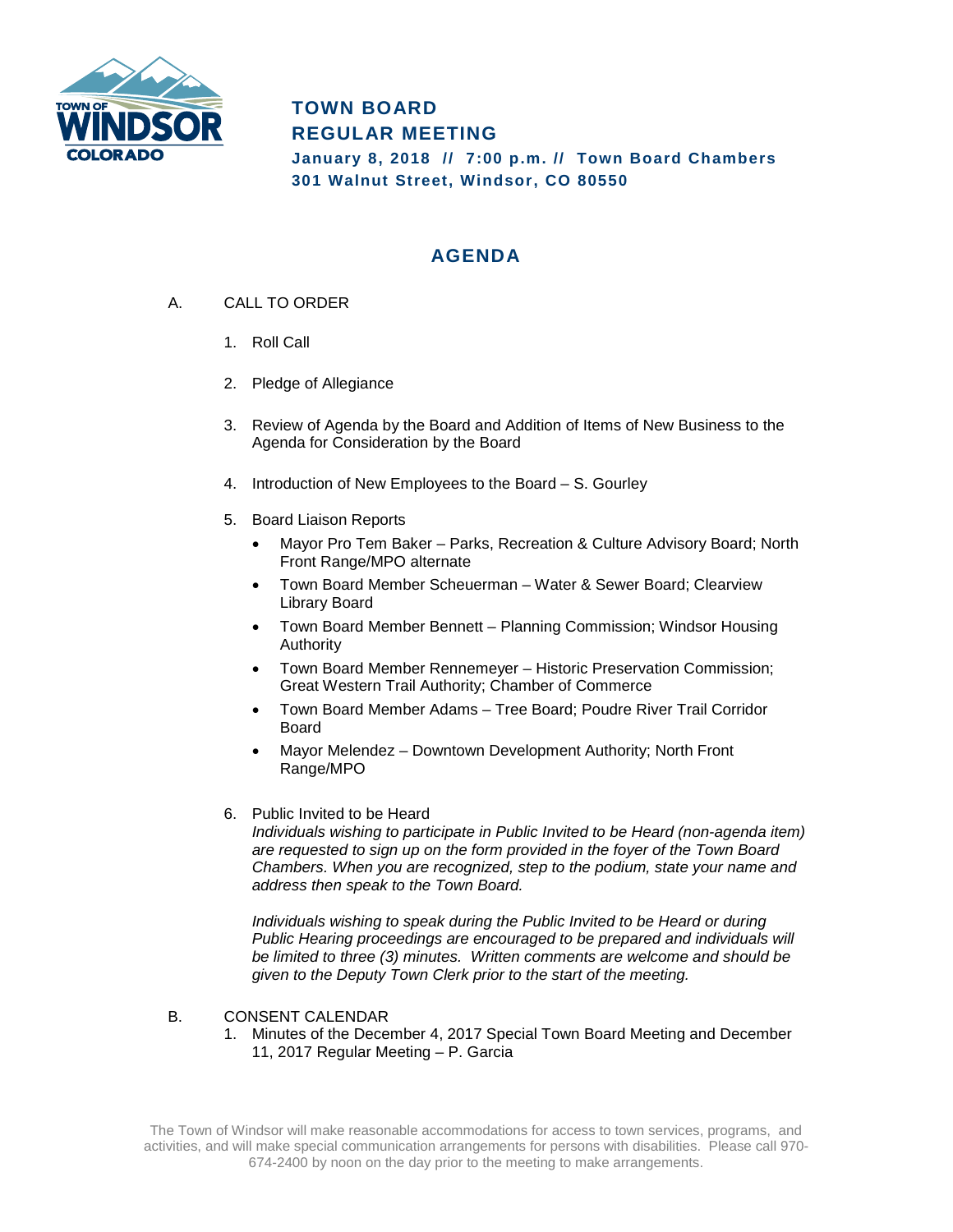

# **TOWN BOARD REGULAR MEETING**

**January 8, 2018 // 7:00 p.m. // Town Board Chambers 301 Walnut Street, Windsor, CO 80550**

# **AGENDA**

- A. CALL TO ORDER
	- 1. Roll Call
	- 2. Pledge of Allegiance
	- 3. Review of Agenda by the Board and Addition of Items of New Business to the Agenda for Consideration by the Board
	- 4. Introduction of New Employees to the Board S. Gourley
	- 5. Board Liaison Reports
		- Mayor Pro Tem Baker Parks, Recreation & Culture Advisory Board; North Front Range/MPO alternate
		- Town Board Member Scheuerman Water & Sewer Board; Clearview Library Board
		- Town Board Member Bennett Planning Commission; Windsor Housing Authority
		- Town Board Member Rennemeyer Historic Preservation Commission; Great Western Trail Authority; Chamber of Commerce
		- Town Board Member Adams Tree Board; Poudre River Trail Corridor Board
		- Mayor Melendez Downtown Development Authority; North Front Range/MPO
	- 6. Public Invited to be Heard

*Individuals wishing to participate in Public Invited to be Heard (non-agenda item) are requested to sign up on the form provided in the foyer of the Town Board Chambers. When you are recognized, step to the podium, state your name and address then speak to the Town Board.*

*Individuals wishing to speak during the Public Invited to be Heard or during Public Hearing proceedings are encouraged to be prepared and individuals will be limited to three (3) minutes. Written comments are welcome and should be given to the Deputy Town Clerk prior to the start of the meeting.* 

#### B. CONSENT CALENDAR

1. Minutes of the December 4, 2017 Special Town Board Meeting and December 11, 2017 Regular Meeting – P. Garcia

The Town of Windsor will make reasonable accommodations for access to town services, programs, and activities, and will make special communication arrangements for persons with disabilities. Please call 970- 674-2400 by noon on the day prior to the meeting to make arrangements.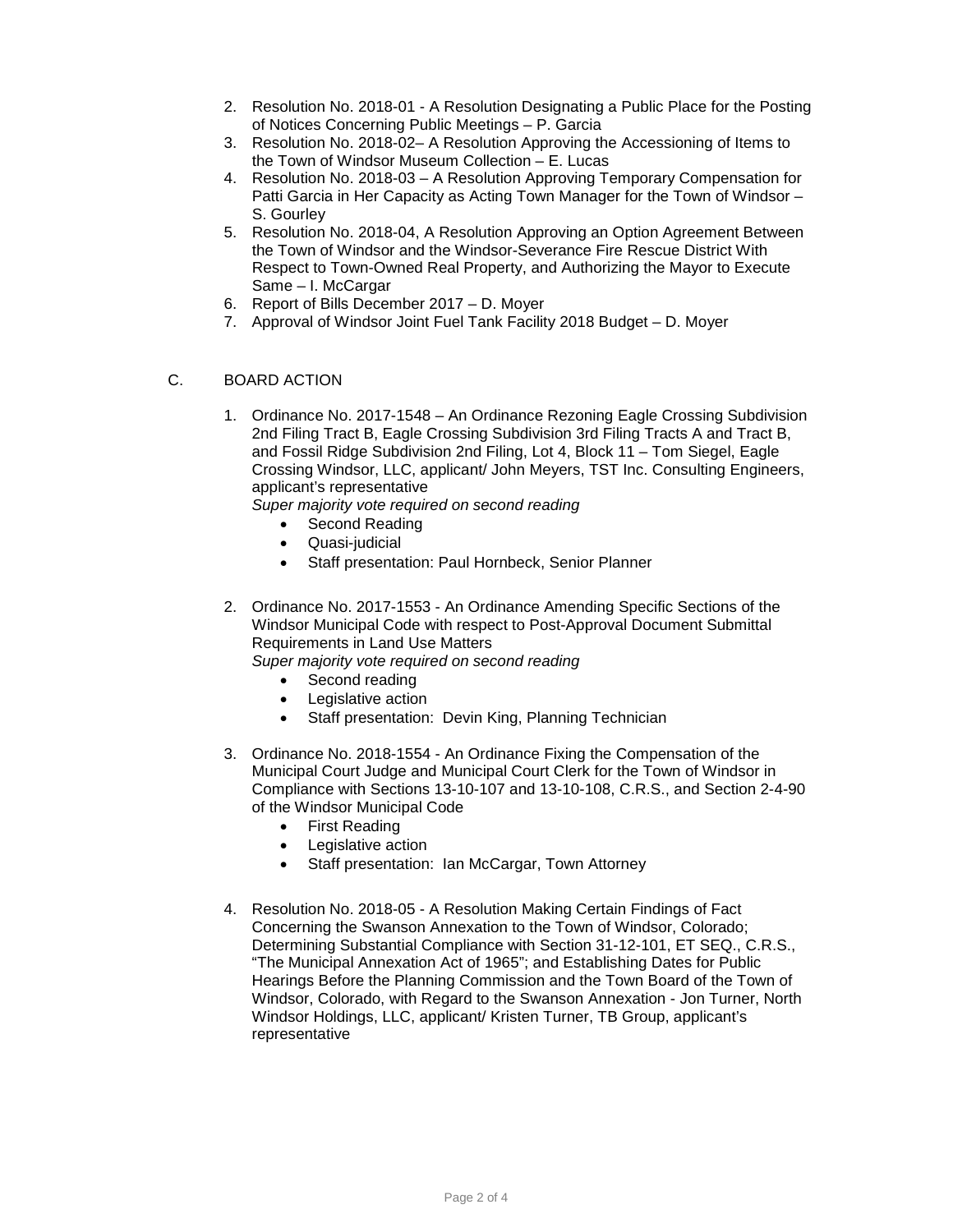- 2. Resolution No. 2018-01 A Resolution Designating a Public Place for the Posting of Notices Concerning Public Meetings – P. Garcia
- 3. Resolution No. 2018-02– A Resolution Approving the Accessioning of Items to the Town of Windsor Museum Collection – E. Lucas
- 4. Resolution No. 2018-03 A Resolution Approving Temporary Compensation for Patti Garcia in Her Capacity as Acting Town Manager for the Town of Windsor – S. Gourley
- 5. Resolution No. 2018-04, A Resolution Approving an Option Agreement Between the Town of Windsor and the Windsor-Severance Fire Rescue District With Respect to Town-Owned Real Property, and Authorizing the Mayor to Execute Same – I. McCargar
- 6. Report of Bills December 2017 D. Moyer
- 7. Approval of Windsor Joint Fuel Tank Facility 2018 Budget D. Moyer

### C. BOARD ACTION

1. Ordinance No. 2017-1548 – An Ordinance Rezoning Eagle Crossing Subdivision 2nd Filing Tract B, Eagle Crossing Subdivision 3rd Filing Tracts A and Tract B, and Fossil Ridge Subdivision 2nd Filing, Lot 4, Block 11 – Tom Siegel, Eagle Crossing Windsor, LLC, applicant/ John Meyers, TST Inc. Consulting Engineers, applicant's representative

*Super majority vote required on second reading*

- Second Reading
- Quasi-judicial
- Staff presentation: Paul Hornbeck, Senior Planner
- 2. Ordinance No. 2017-1553 An Ordinance Amending Specific Sections of the Windsor Municipal Code with respect to Post-Approval Document Submittal Requirements in Land Use Matters

*Super majority vote required on second reading*

- Second reading
- Legislative action
- Staff presentation: Devin King, Planning Technician
- 3. Ordinance No. 2018-1554 An Ordinance Fixing the Compensation of the Municipal Court Judge and Municipal Court Clerk for the Town of Windsor in Compliance with Sections 13-10-107 and 13-10-108, C.R.S., and Section 2-4-90 of the Windsor Municipal Code
	- First Reading
	- Legislative action
	- Staff presentation: Ian McCargar, Town Attorney
- 4. Resolution No. 2018-05 A Resolution Making Certain Findings of Fact Concerning the Swanson Annexation to the Town of Windsor, Colorado; Determining Substantial Compliance with Section 31-12-101, ET SEQ., C.R.S., "The Municipal Annexation Act of 1965"; and Establishing Dates for Public Hearings Before the Planning Commission and the Town Board of the Town of Windsor, Colorado, with Regard to the Swanson Annexation - Jon Turner, North Windsor Holdings, LLC, applicant/ Kristen Turner, TB Group, applicant's representative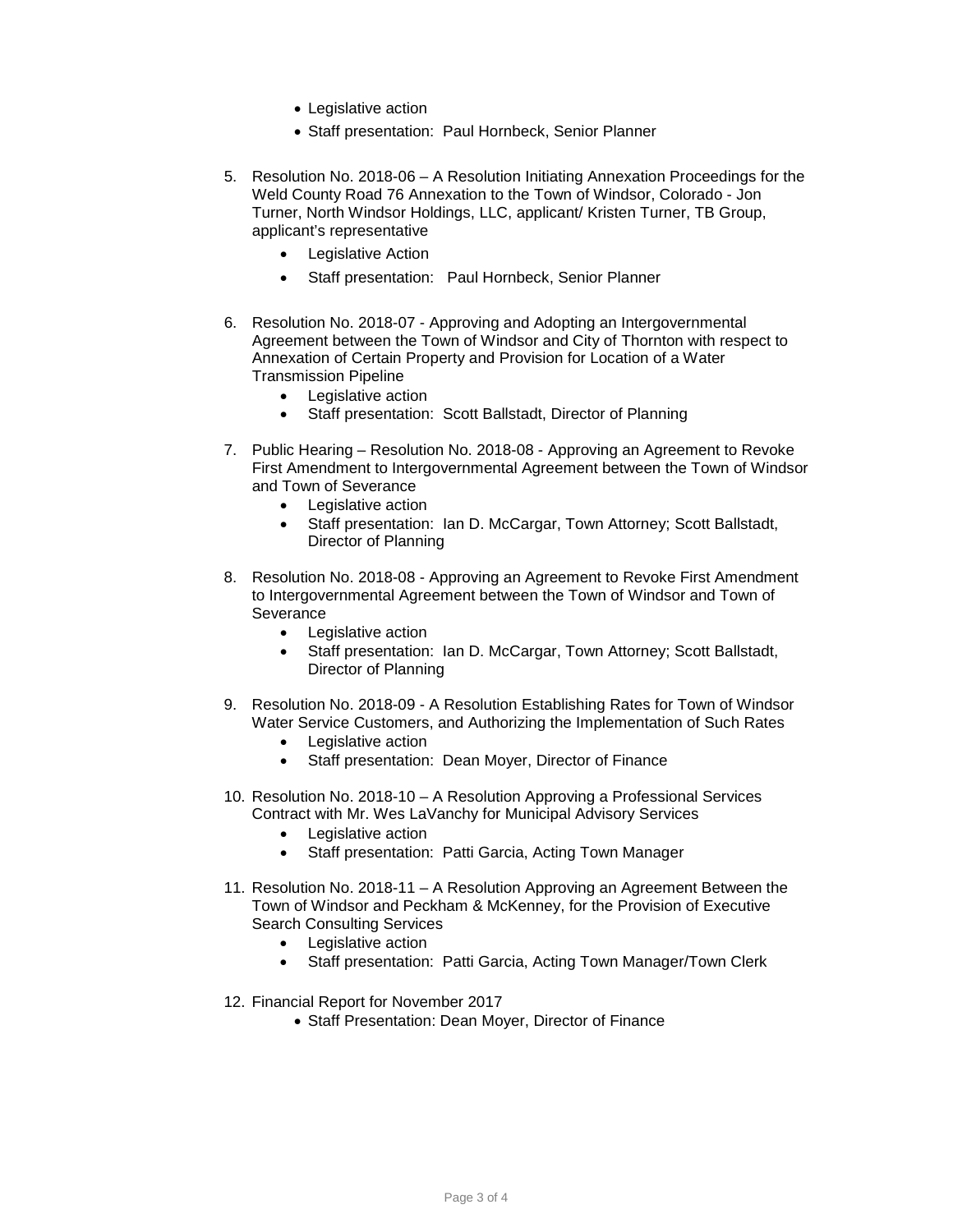- Legislative action
- Staff presentation: Paul Hornbeck, Senior Planner
- 5. Resolution No. 2018-06 A Resolution Initiating Annexation Proceedings for the Weld County Road 76 Annexation to the Town of Windsor, Colorado - Jon Turner, North Windsor Holdings, LLC, applicant/ Kristen Turner, TB Group, applicant's representative
	- **Legislative Action**
	- Staff presentation: Paul Hornbeck, Senior Planner
- 6. Resolution No. 2018-07 Approving and Adopting an Intergovernmental Agreement between the Town of Windsor and City of Thornton with respect to Annexation of Certain Property and Provision for Location of a Water Transmission Pipeline
	- Legislative action
	- Staff presentation: Scott Ballstadt, Director of Planning
- 7. Public Hearing Resolution No. 2018-08 Approving an Agreement to Revoke First Amendment to Intergovernmental Agreement between the Town of Windsor and Town of Severance
	- Legislative action
	- Staff presentation: Ian D. McCargar, Town Attorney; Scott Ballstadt, Director of Planning
- 8. Resolution No. 2018-08 Approving an Agreement to Revoke First Amendment to Intergovernmental Agreement between the Town of Windsor and Town of **Severance** 
	- Legislative action
	- Staff presentation: Ian D. McCargar, Town Attorney; Scott Ballstadt, Director of Planning
- 9. Resolution No. 2018-09 A Resolution Establishing Rates for Town of Windsor Water Service Customers, and Authorizing the Implementation of Such Rates
	- Legislative action
	- Staff presentation: Dean Moyer, Director of Finance
- 10. Resolution No. 2018-10 A Resolution Approving a Professional Services Contract with Mr. Wes LaVanchy for Municipal Advisory Services
	- **Legislative action**
	- Staff presentation: Patti Garcia, Acting Town Manager
- 11. Resolution No. 2018-11 A Resolution Approving an Agreement Between the Town of Windsor and Peckham & McKenney, for the Provision of Executive Search Consulting Services
	- Legislative action
	- Staff presentation: Patti Garcia, Acting Town Manager/Town Clerk
- 12. Financial Report for November 2017
	- Staff Presentation: Dean Moyer, Director of Finance